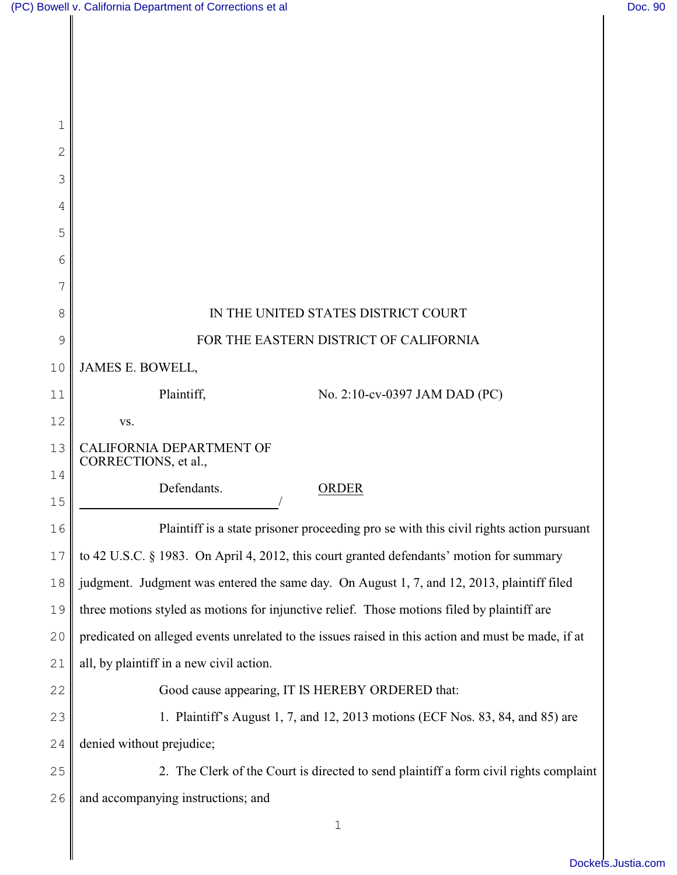| 1  |                                                                                                    |
|----|----------------------------------------------------------------------------------------------------|
| 2  |                                                                                                    |
| 3  |                                                                                                    |
| 4  |                                                                                                    |
| 5  |                                                                                                    |
| 6  |                                                                                                    |
| 7  |                                                                                                    |
| 8  | IN THE UNITED STATES DISTRICT COURT                                                                |
| 9  | FOR THE EASTERN DISTRICT OF CALIFORNIA                                                             |
| 10 | JAMES E. BOWELL,                                                                                   |
| 11 | Plaintiff,<br>No. 2:10-cv-0397 JAM DAD (PC)                                                        |
| 12 | VS.                                                                                                |
| 13 | CALIFORNIA DEPARTMENT OF<br>CORRECTIONS, et al.,                                                   |
| 14 | Defendants.<br><b>ORDER</b>                                                                        |
| 15 |                                                                                                    |
| 16 | Plaintiff is a state prisoner proceeding pro se with this civil rights action pursuant             |
| 17 | to 42 U.S.C. § 1983. On April 4, 2012, this court granted defendants' motion for summary           |
| 18 | judgment. Judgment was entered the same day. On August 1, 7, and 12, 2013, plaintiff filed         |
| 19 | three motions styled as motions for injunctive relief. Those motions filed by plaintiff are        |
| 20 | predicated on alleged events unrelated to the issues raised in this action and must be made, if at |
| 21 | all, by plaintiff in a new civil action.                                                           |
|    |                                                                                                    |
| 22 | Good cause appearing, IT IS HEREBY ORDERED that:                                                   |
| 23 | 1. Plaintiff's August 1, 7, and 12, 2013 motions (ECF Nos. 83, 84, and 85) are                     |
| 24 | denied without prejudice;                                                                          |
| 25 | 2. The Clerk of the Court is directed to send plaintiff a form civil rights complaint              |
| 26 | and accompanying instructions; and                                                                 |
|    | $\mathbf 1$                                                                                        |